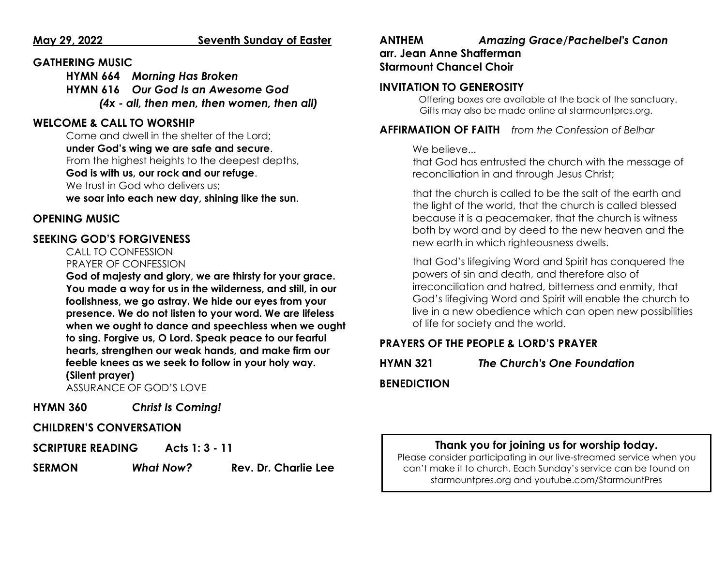#### **May 29, 2022 Seventh Sunday of Easter**

#### **GATHERING MUSIC**

**HYMN 664** *Morning Has Broken* **HYMN 616** *Our God Is an Awesome God (4x - all, then men, then women, then all)*

# **WELCOME & CALL TO WORSHIP**

Come and dwell in the shelter of the Lord; **under God's wing we are safe and secure**. From the highest heights to the deepest depths, **God is with us, our rock and our refuge**. We trust in God who delivers us: **we soar into each new day, shining like the sun**.

# **OPENING MUSIC**

#### **SEEKING GOD'S FORGIVENESS**

     CALL TO CONFESSION        PRAYER OF CONFESSION

**God of majesty and glory, we are thirsty for your grace. You made a way for us in the wilderness, and still, in our foolishness, we go astray. We hide our eyes from your presence. We do not listen to your word. We are lifeless when we ought to dance and speechless when we ought to sing. Forgive us, O Lord. Speak peace to our fearful hearts, strengthen our weak hands, and make firm our feeble knees as we seek to follow in your holy way. (Silent prayer)**

ASSURANCE OF GOD'S LOVE

**HYMN 360** *Christ Is Coming!*

#### **CHILDREN'S CONVERSATION**

**SCRIPTURE READING Acts 1: 3 - 11**

**SERMON** *What Now?* **Rev. Dr. Charlie Lee**

# **ANTHEM** *Amazing Grace/Pachelbel's Canon* **arr. Jean Anne Shafferman Starmount Chancel Choir**

# **INVITATION TO GENEROSITY**

Offering boxes are available at the back of the sanctuary.      Gifts may also be made online at starmountpres.org.

**AFFIRMATION OF FAITH** *from the Confession of Belhar*

#### We believe...

that God has entrusted the church with the message of reconciliation in and through Jesus Christ;

that the church is called to be the salt of the earth and the light of the world, that the church is called blessed because it is a peacemaker, that the church is witness both by word and by deed to the new heaven and the new earth in which righteousness dwells.

that God's lifegiving Word and Spirit has conquered the powers of sin and death, and therefore also of irreconciliation and hatred, bitterness and enmity, that God's lifegiving Word and Spirit will enable the church to live in a new obedience which can open new possibilities of life for society and the world.

# **PRAYERS OF THE PEOPLE & LORD'S PRAYER**

# **HYMN 321** *The Church's One Foundation*

### **BENEDICTION**

# **Thank you for joining us for worship today.**

Please consider participating in our live-streamed service when you can't make it to church. Each Sunday's service can be found on starmountpres.org and youtube.com/StarmountPres